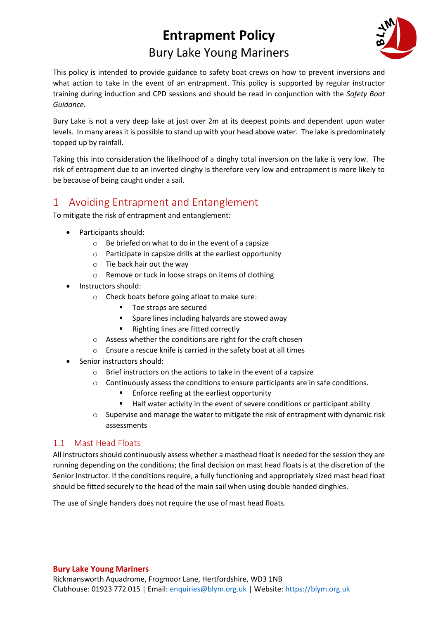# **Entrapment Policy** Bury Lake Young Mariners



This policy is intended to provide guidance to safety boat crews on how to prevent inversions and what action to take in the event of an entrapment. This policy is supported by regular instructor training during induction and CPD sessions and should be read in conjunction with the *Safety Boat Guidance*.

Bury Lake is not a very deep lake at just over 2m at its deepest points and dependent upon water levels. In many areas it is possible to stand up with your head above water. The lake is predominately topped up by rainfall.

Taking this into consideration the likelihood of a dinghy total inversion on the lake is very low. The risk of entrapment due to an inverted dinghy is therefore very low and entrapment is more likely to be because of being caught under a sail.

## 1 Avoiding Entrapment and Entanglement

To mitigate the risk of entrapment and entanglement:

- Participants should:
	- o Be briefed on what to do in the event of a capsize
	- o Participate in capsize drills at the earliest opportunity
	- o Tie back hair out the way
	- o Remove or tuck in loose straps on items of clothing
- Instructors should:
	- o Check boats before going afloat to make sure:
		- Toe straps are secured
		- Spare lines including halyards are stowed away
		- Righting lines are fitted correctly
	- o Assess whether the conditions are right for the craft chosen
	- o Ensure a rescue knife is carried in the safety boat at all times
- Senior instructors should:
	- o Brief instructors on the actions to take in the event of a capsize
	- $\circ$  Continuously assess the conditions to ensure participants are in safe conditions.
		- Enforce reefing at the earliest opportunity
		- Half water activity in the event of severe conditions or participant ability
	- $\circ$  Supervise and manage the water to mitigate the risk of entrapment with dynamic risk assessments

#### 1.1 Mast Head Floats

All instructors should continuously assess whether a masthead float is needed for the session they are running depending on the conditions; the final decision on mast head floats is at the discretion of the Senior Instructor. If the conditions require, a fully functioning and appropriately sized mast head float should be fitted securely to the head of the main sail when using double handed dinghies.

The use of single handers does not require the use of mast head floats.

#### **Bury Lake Young Mariners**